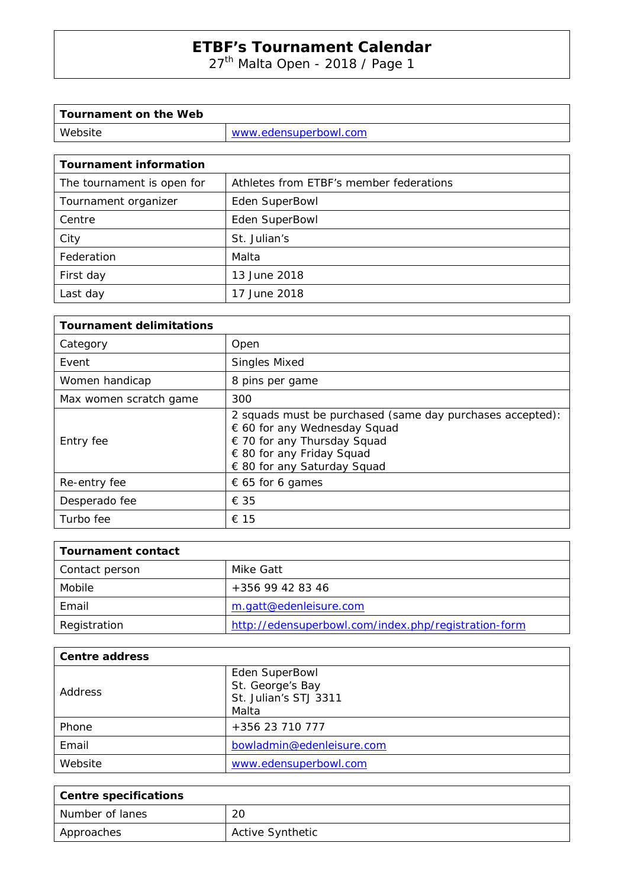27<sup>th</sup> Malta Open - 2018 / Page 1

| Tournament on the Web |                       |
|-----------------------|-----------------------|
| Website               | www.edensuperbowl.com |
|                       |                       |

| <b>Tournament information</b> |                                         |
|-------------------------------|-----------------------------------------|
| The tournament is open for    | Athletes from ETBF's member federations |
| Tournament organizer          | Eden SuperBowl                          |
| Centre                        | Eden SuperBowl                          |
| City                          | St. Julian's                            |
| Federation                    | Malta                                   |
| First day                     | 13 June 2018                            |
| Last day                      | 17 June 2018                            |

| <b>Tournament delimitations</b> |                                                                                                                                                                                      |  |  |  |  |
|---------------------------------|--------------------------------------------------------------------------------------------------------------------------------------------------------------------------------------|--|--|--|--|
| Category                        | Open                                                                                                                                                                                 |  |  |  |  |
| Event                           | <b>Singles Mixed</b>                                                                                                                                                                 |  |  |  |  |
| Women handicap                  | 8 pins per game                                                                                                                                                                      |  |  |  |  |
| Max women scratch game          | 300                                                                                                                                                                                  |  |  |  |  |
| Entry fee                       | 2 squads must be purchased (same day purchases accepted):<br>€ 60 for any Wednesday Squad<br>€ 70 for any Thursday Squad<br>€ 80 for any Friday Squad<br>€ 80 for any Saturday Squad |  |  |  |  |
| Re-entry fee                    | $\epsilon$ 65 for 6 games                                                                                                                                                            |  |  |  |  |
| Desperado fee                   | € 35                                                                                                                                                                                 |  |  |  |  |
| Turbo fee                       | € 15                                                                                                                                                                                 |  |  |  |  |

| <b>Tournament contact</b> |                                                      |
|---------------------------|------------------------------------------------------|
| Contact person            | Mike Gatt                                            |
| Mobile                    | +356 99 42 83 46                                     |
| Email                     | m.gatt@edenleisure.com                               |
| Registration              | http://edensuperbowl.com/index.php/registration-form |

| <b>Centre address</b> |                                                             |  |  |  |  |
|-----------------------|-------------------------------------------------------------|--|--|--|--|
| Address               | Eden SuperBowl<br>St. George's Bay<br>St. Julian's STJ 3311 |  |  |  |  |
|                       | Malta                                                       |  |  |  |  |
| Phone                 | +356 23 710 777                                             |  |  |  |  |
| Email                 | bowladmin@edenleisure.com                                   |  |  |  |  |
| Website               | www.edensuperbowl.com                                       |  |  |  |  |

| <b>Centre specifications</b> |                         |  |  |  |
|------------------------------|-------------------------|--|--|--|
| l Number of lanes            | 20                      |  |  |  |
| Approaches                   | <b>Active Synthetic</b> |  |  |  |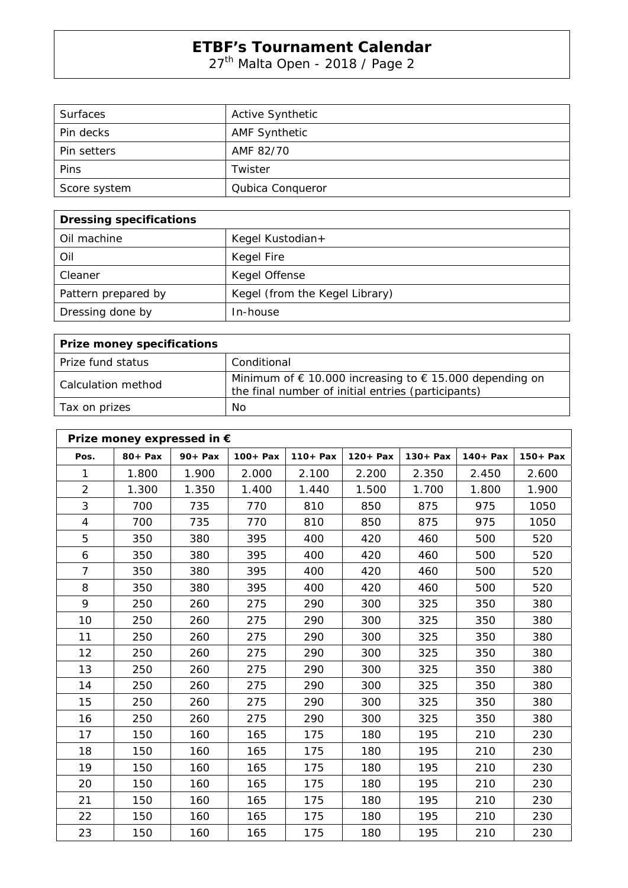27<sup>th</sup> Malta Open - 2018 / Page 2

| <b>Surfaces</b> | <b>Active Synthetic</b> |
|-----------------|-------------------------|
| Pin decks       | <b>AMF Synthetic</b>    |
| Pin setters     | AMF 82/70               |
| Pins            | Twister                 |
| Score system    | Qubica Conqueror        |

| <b>Dressing specifications</b> |                                |  |  |  |  |
|--------------------------------|--------------------------------|--|--|--|--|
| Oil machine                    | Kegel Kustodian+               |  |  |  |  |
| Oil                            | Kegel Fire                     |  |  |  |  |
| Cleaner                        | Kegel Offense                  |  |  |  |  |
| Pattern prepared by            | Kegel (from the Kegel Library) |  |  |  |  |
| Dressing done by               | In-house                       |  |  |  |  |

| <b>Prize money specifications</b> |                                                                                                                                 |  |  |  |  |
|-----------------------------------|---------------------------------------------------------------------------------------------------------------------------------|--|--|--|--|
| Prize fund status                 | Conditional                                                                                                                     |  |  |  |  |
| Calculation method                | Minimum of $\epsilon$ 10.000 increasing to $\epsilon$ 15.000 depending on<br>the final number of initial entries (participants) |  |  |  |  |
| Tax on prizes                     | No                                                                                                                              |  |  |  |  |

| Prize money expressed in € |            |            |             |             |             |             |             |            |
|----------------------------|------------|------------|-------------|-------------|-------------|-------------|-------------|------------|
| Pos.                       | $80 + Pax$ | $90 + Pax$ | $100 + Pax$ | $110 + Pax$ | $120 + Pax$ | $130 + Pax$ | $140 + Pax$ | $150+$ Pax |
| 1                          | 1.800      | 1.900      | 2.000       | 2.100       | 2.200       | 2.350       | 2.450       | 2.600      |
| $\overline{2}$             | 1.300      | 1.350      | 1.400       | 1.440       | 1.500       | 1.700       | 1.800       | 1.900      |
| 3                          | 700        | 735        | 770         | 810         | 850         | 875         | 975         | 1050       |
| $\overline{4}$             | 700        | 735        | 770         | 810         | 850         | 875         | 975         | 1050       |
| 5                          | 350        | 380        | 395         | 400         | 420         | 460         | 500         | 520        |
| 6                          | 350        | 380        | 395         | 400         | 420         | 460         | 500         | 520        |
| $\overline{7}$             | 350        | 380        | 395         | 400         | 420         | 460         | 500         | 520        |
| 8                          | 350        | 380        | 395         | 400         | 420         | 460         | 500         | 520        |
| 9                          | 250        | 260        | 275         | 290         | 300         | 325         | 350         | 380        |
| 10                         | 250        | 260        | 275         | 290         | 300         | 325         | 350         | 380        |
| 11                         | 250        | 260        | 275         | 290         | 300         | 325         | 350         | 380        |
| 12                         | 250        | 260        | 275         | 290         | 300         | 325         | 350         | 380        |
| 13                         | 250        | 260        | 275         | 290         | 300         | 325         | 350         | 380        |
| 14                         | 250        | 260        | 275         | 290         | 300         | 325         | 350         | 380        |
| 15                         | 250        | 260        | 275         | 290         | 300         | 325         | 350         | 380        |
| 16                         | 250        | 260        | 275         | 290         | 300         | 325         | 350         | 380        |
| 17                         | 150        | 160        | 165         | 175         | 180         | 195         | 210         | 230        |
| 18                         | 150        | 160        | 165         | 175         | 180         | 195         | 210         | 230        |
| 19                         | 150        | 160        | 165         | 175         | 180         | 195         | 210         | 230        |
| 20                         | 150        | 160        | 165         | 175         | 180         | 195         | 210         | 230        |
| 21                         | 150        | 160        | 165         | 175         | 180         | 195         | 210         | 230        |
| 22                         | 150        | 160        | 165         | 175         | 180         | 195         | 210         | 230        |
| 23                         | 150        | 160        | 165         | 175         | 180         | 195         | 210         | 230        |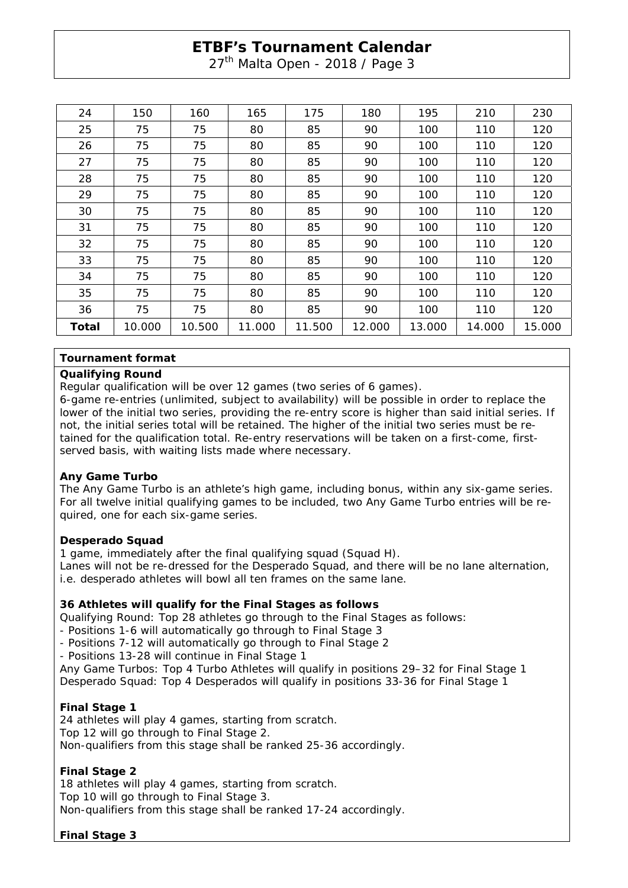27<sup>th</sup> Malta Open - 2018 / Page 3

| 24    | 150    | 160    | 165    | 175    | 180    | 195    | 210    | 230    |
|-------|--------|--------|--------|--------|--------|--------|--------|--------|
| 25    | 75     | 75     | 80     | 85     | 90     | 100    | 110    | 120    |
| 26    | 75     | 75     | 80     | 85     | 90     | 100    | 110    | 120    |
| 27    | 75     | 75     | 80     | 85     | 90     | 100    | 110    | 120    |
| 28    | 75     | 75     | 80     | 85     | 90     | 100    | 110    | 120    |
| 29    | 75     | 75     | 80     | 85     | 90     | 100    | 110    | 120    |
| 30    | 75     | 75     | 80     | 85     | 90     | 100    | 110    | 120    |
| 31    | 75     | 75     | 80     | 85     | 90     | 100    | 110    | 120    |
| 32    | 75     | 75     | 80     | 85     | 90     | 100    | 110    | 120    |
| 33    | 75     | 75     | 80     | 85     | 90     | 100    | 110    | 120    |
| 34    | 75     | 75     | 80     | 85     | 90     | 100    | 110    | 120    |
| 35    | 75     | 75     | 80     | 85     | 90     | 100    | 110    | 120    |
| 36    | 75     | 75     | 80     | 85     | 90     | 100    | 110    | 120    |
| Total | 10.000 | 10.500 | 11.000 | 11.500 | 12.000 | 13.000 | 14.000 | 15.000 |

### **Tournament format**

#### **Qualifying Round**

Regular qualification will be over 12 games (two series of 6 games).

6-game re-entries (unlimited, subject to availability) will be possible in order to replace the lower of the initial two series, providing the re-entry score is higher than said initial series. If not, the initial series total will be retained. The higher of the initial two series must be retained for the qualification total. Re-entry reservations will be taken on a first-come, firstserved basis, with waiting lists made where necessary.

### **Any Game Turbo**

The Any Game Turbo is an athlete's high game, including bonus, within any six-game series. For all twelve initial qualifying games to be included, two Any Game Turbo entries will be required, one for each six-game series.

### **Desperado Squad**

1 game, immediately after the final qualifying squad (Squad H). Lanes will not be re-dressed for the Desperado Squad, and there will be no lane alternation, i.e. desperado athletes will bowl all ten frames on the same lane.

### **36 Athletes will qualify for the Final Stages as follows**

Qualifying Round: Top 28 athletes go through to the Final Stages as follows:

- Positions 1-6 will automatically go through to Final Stage 3
- Positions 7-12 will automatically go through to Final Stage 2
- Positions 13-28 will continue in Final Stage 1

Any Game Turbos: Top 4 Turbo Athletes will qualify in positions 29–32 for Final Stage 1 Desperado Squad: Top 4 Desperados will qualify in positions 33-36 for Final Stage 1

### **Final Stage 1**

24 athletes will play 4 games, starting from scratch. Top 12 will go through to Final Stage 2. Non-qualifiers from this stage shall be ranked 25-36 accordingly.

## **Final Stage 2**

18 athletes will play 4 games, starting from scratch.

Top 10 will go through to Final Stage 3.

Non-qualifiers from this stage shall be ranked 17-24 accordingly.

## **Final Stage 3**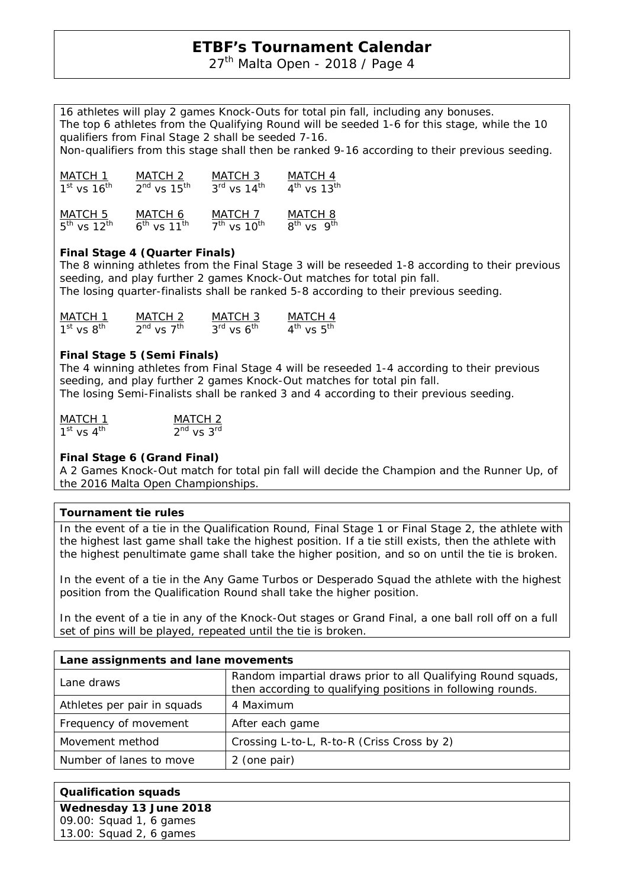27<sup>th</sup> Malta Open - 2018 / Page 4

16 athletes will play 2 games Knock-Outs for total pin fall, including any bonuses. The top 6 athletes from the Qualifying Round will be seeded 1-6 for this stage, while the 10 qualifiers from Final Stage 2 shall be seeded 7-16.

Non-qualifiers from this stage shall then be ranked 9-16 according to their previous seeding.

| MATCH 1                   | MATCH 2                      | MATCH 3         | MATCH 4                   |
|---------------------------|------------------------------|-----------------|---------------------------|
| $1st$ vs $16th$           | $2nd$ vs $15th$              | $3rd$ vs $14th$ | $4th$ vs 13 <sup>th</sup> |
| MATCH 5                   | MATCH 6                      | MATCH 7         | MATCH <sub>8</sub>        |
| $5th$ vs 12 <sup>th</sup> | $6^{th}$ vs 11 <sup>th</sup> | $7th$ vs $10th$ | $8^{th}$ vs $9^{th}$      |

## **Final Stage 4 (Quarter Finals)**

The 8 winning athletes from the Final Stage 3 will be reseeded 1-8 according to their previous seeding, and play further 2 games Knock-Out matches for total pin fall. The losing quarter-finalists shall be ranked 5-8 according to their previous seeding.

| MATCH 1        | MATCH 2              | MATCH 3                            | MATCH 4                            |
|----------------|----------------------|------------------------------------|------------------------------------|
| $1st$ vs $8th$ | $2^{nd}$ vs $7^{th}$ | $3^{\text{rd}}$ vs $6^{\text{th}}$ | $4^{\text{th}}$ vs $5^{\text{th}}$ |

### **Final Stage 5 (Semi Finals)**

The 4 winning athletes from Final Stage 4 will be reseeded 1-4 according to their previous seeding, and play further 2 games Knock-Out matches for total pin fall. The losing Semi-Finalists shall be ranked 3 and 4 according to their previous seeding.

| <b>MATCH 1</b> | MATCH 2        |
|----------------|----------------|
| $1st$ vs $4th$ | $2nd$ vs $3rd$ |

## **Final Stage 6 (Grand Final)**

A 2 Games Knock-Out match for total pin fall will decide the Champion and the Runner Up, of the 2016 Malta Open Championships.

### **Tournament tie rules**

In the event of a tie in the Qualification Round, Final Stage 1 or Final Stage 2, the athlete with the highest last game shall take the highest position. If a tie still exists, then the athlete with the highest penultimate game shall take the higher position, and so on until the tie is broken.

In the event of a tie in the Any Game Turbos or Desperado Squad the athlete with the highest position from the Qualification Round shall take the higher position.

In the event of a tie in any of the Knock-Out stages or Grand Final, a one ball roll off on a full set of pins will be played, repeated until the tie is broken.

| Lane assignments and lane movements |                                                                                                                             |  |  |
|-------------------------------------|-----------------------------------------------------------------------------------------------------------------------------|--|--|
| Lane draws                          | Random impartial draws prior to all Qualifying Round squads,<br>then according to qualifying positions in following rounds. |  |  |
| Athletes per pair in squads         | 4 Maximum                                                                                                                   |  |  |
| Frequency of movement               | After each game                                                                                                             |  |  |
| Movement method                     | Crossing L-to-L, R-to-R (Criss Cross by 2)                                                                                  |  |  |
| Number of lanes to move             | 2 (one pair)                                                                                                                |  |  |

| <b>Qualification squads</b> |  |  |
|-----------------------------|--|--|
| Wednesday 13 June 2018      |  |  |
| 09.00: Squad 1, 6 games     |  |  |
| 13.00: Squad 2, 6 games     |  |  |